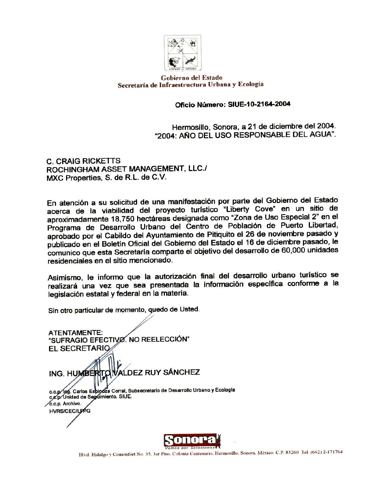

## Gobierno del Estado Secretaría de Infraestructura Urbana y Ecología

## Oficio Número: SIUE-10-2164-2004

Hermosillo, Sonora, a 21 de diciembre del 2004. "2004; AÑO DEL USO RESPONSABLE DEL AGUA".

**C. CRAIG RICKETTS** ROCHINGHAM ASSET MANAGEMENT, LLC./ MXC Properties, S. de R.L. de C.V.

En atención a su solicitud de una manifestación por parte del Gobierno del Estado acerca de la viabilidad del proyecto turístico "Liberty Cove" en un sitio de aproximadamente 18,750 hectáreas designada como "Zona de Uso Especial 2" en el Programa de Desarrollo Urbano del Centro de Población de Puerto Libertad, aprobado por el Cabildo del Ayuntamiento de Pitiquito el 26 de noviembre pasado y publicado en el Boletín Oficial del Gobierno del Estado el 16 de diciembre pasado, le comunico que esta Secretaría comparte el objetivo del desarrollo de 60,000 unidades residenciales en el sitio mencionado.

Asimismo, le informo que la autorización final del desarrollo urbano turístico se realizará una vez que sea presentada la información específica conforme a la legislación estatal y federal en la materia.

Sin otro particular de momento, quedo de Usted.

**ATENTAMENTE:** "SUFRAGIO EFECTIVO. NO REELECCIÓN" **EL SECRETARIO** ING. HUMBERITO WALDEZ RUY SÁNCHEZ c.c.p/lng. Carlos Esbinoza Corral, Subsecretario de Desarrollo Urbano y Ecología c,c,p. Unidad de Seguimiento. SIUE. c.c.p. Archivo. **HVRS/CEC/LFPG**